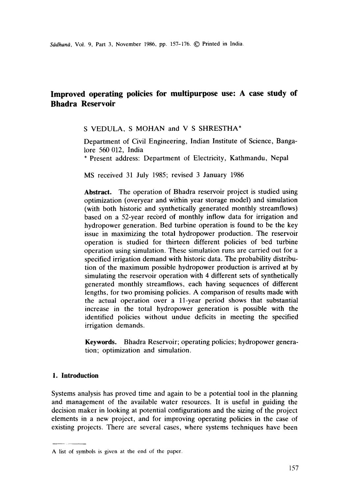# **Improved operating policies for multipurpose use: A case study of Bhadra Reservoir**

# S VEDULA, S MOHAN and V S SHRESTHA\*

Department of Civil Engineering, Indian Institute of Science, Bangalore 560 012, India

\* Present address: Department of Electricity, Kathmandu, Nepal

MS received 31 July 1985; revised 3 January 1986

**Abstract.** The operation of Bhadra reservoir project is studied using optimization (overyear and within year storage model) and simulation (with both historic and synthetically generated monthly streamflows) based on a 52-year record of monthly inflow data for irrigation and hydropower generation. Bed turbine operation is found to be the key issue in maximizing the total hydropower production. The reservoir operation is studied for thirteen different policies of bed turbine operation using simulation. These simulation runs are carried out for a specified irrigation demand with historic data. The probability distribution of the maximum possible hydropower production is arrived at by simulating the reservoir operation with 4 different sets of synthetically generated monthly streamflows, each having sequences of different lengths, for two promising policies. A comparison of results made with the actual operation over a 11-year period shows that substantial increase in the total hydropower generation is possible with the identified policies without undue deficits in meeting the specified irrigation demands.

**Keywords.** Bhadra Reservoir; operating policies; hydropower generation; optimization and simulation.

### **I. Introduction**

Systems analysis has proved time and again to be a potential tool in the planning and management of the available water resources. It is useful in guiding the decision maker in looking at potential configurations and the sizing of the project elements in a new project, and for improving operating policies in the case of existing projects. There are several cases, where systems techniques have been

A list of symbols is given at the end of the paper.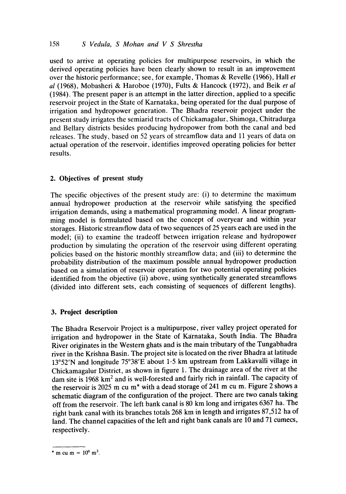used to arrive at operating policies for multipurpose reservoirs, in which the derived operating policies have been clearly shown to result in an improvement over the historic performance; see, for example, Thomas & Revelle (1966), Hall *et al* (1968), Mobasheri & Haroboe (1970), Fults & Hancock (1972), and Beik *et al*  (1984). The present paper is an attempt in the latter direction, applied to a specific reservoir project in the State of Karnataka, being operated for the dual purpose of irrigation and hydropower generation. The Bhadra reservoir project under the present study irrigates the semiarid tracts of Chickamagalur, Shimoga, Chitradurga and Bellary districts besides producing hydropower from both the canal and bed releases. The study, based on 52 years of streamflow data and 11 years of data on actual operation of the reservoir, identifies improved operating policies for better results.

# **2. Objectives of present study**

The specific objectives of the present study are: (i) to determine the maximum annual hydropower production at the reservoir while satisfying the specified irrigation demands, using a mathematical programming model. A linear programming model is formulated based on the concept of overyear and within year storages. Historic streamflow data of two sequences of 25 years each are usedin the model; (ii) to examine the tradeoff between irrigation release and hydropower production by simulating the operation of the reservoir using different operating policies based on the historic monthly streamflow data; and (iii) to determine the probability distribution of the maximum possible annual hydropower production based on a simulation of reservoir operation for two potential operating policies identified from the objective (ii) above, using synthetically generated streamflows (divided into different sets, each consisting of sequences of different lengths).

# **3. Project description**

The Bhadra Reservoir Project is a multipurpose, river valley project operated for irrigation and hydropower in the State of Karnataka, South India. The Bhadra River originates in the Western ghats and is the main tributary of the Tungabhadra river in the Krishna Basin. The project site is located on the river Bhadra at latitude 13°52'N and longitude 75°38'E about 1.5 km upstream from Lakkavalli village in Chickamagalur District, as shown in figure 1. The drainage area of the river at the dam site is 1968 km<sup>2</sup> and is well-forested and fairly rich in rainfall. The capacity of the reservoir is 2025 m cu m\* with a dead storage of 241 m cu m. Figure 2 shows a schematic diagram of the configuration of the project. There are two canals taking off from the reservoir. The left bank canal is 80 km long and irrigates 6367 ha. The right bank canal with its branches totals 268 km in length and irrigates 87,512 ha of land. The channel capacities of the left and right bank canals are 10 and 71 cumecs, respectively.

 $*$  m cu m =  $10^6$  m<sup>3</sup>.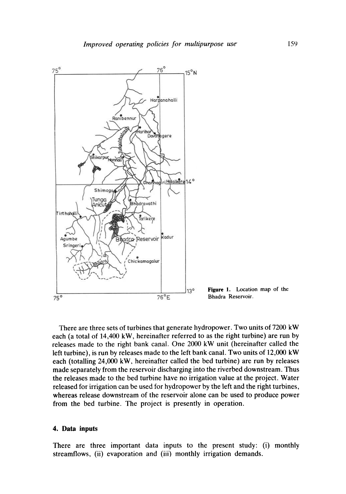

13° **Figure 1.** Location map of the

There are three sets of turbines that generate hydropower. Two units of 7200 kW each (a total of 14,400 kW, hereinafter referred to as the right turbine) are run by releases made to the right bank canal. One 2000 kW unit (hereinafter called the left turbine), is run by releases made to the left bank canal. Two units of 12,000 kW each (totalling 24,000 kW, hereinafter called the bed turbine) are run by releases made separately from the reservoir discharging into the riverbed downstream. Thus the releases made to the bed turbine have no irrigation value at the project. Water released for irrigation can be used for hydropower by the left and the right turbines, whereas release downstream of the reservoir alone can be used to produce power from the bed turbine. The project is presently in operation.

### **4. Data inputs**

There are three important data inputs to the present study: (i) monthly streamflows, (ii) evaporation and (iii) monthly irrigation demands.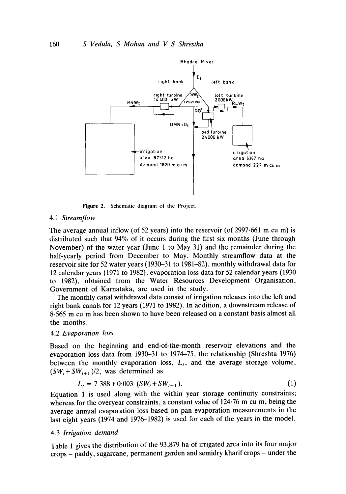

**Figure** 2. Schematic diagram of the Project.

### *4.1 Streamflow*

The average annual inflow (of 52 years) into the reservoir (of 2997.661 m cu m) is distributed such that 94% of it occurs during the first six months (June through November) of the water year (June 1 to May 31) and the remainder during the half-yearly period from December to May. Monthly streamflow data at the reservoir site for 52 water years (1930-31 to 1981-82), monthly withdrawal data for 12 calendar years (1971 to 1982), evaporation loss data for 52 calendar years (1930 to 1982), obtained from the Water Resources Development Organisation, Government of Karnataka, are used in the study.

The monthly canal withdrawal data consist of irrigation releases into the left and right bank canals for 12 years (1971 to 1982). In addition, a downstream release of 8-565 m cu m has been shown to have been released on a constant basis almost all the months.

### 4.2 *Evaporation loss*

Based on the beginning and end-of-the-month reservoir elevations and the evaporation loss data from 1930-31 to 1974-75, the relationship (Shreshta 1976) between the monthly evaporation loss,  $L_t$ , and the average storage volume,  $(SW_t + SW_{t+1})/2$ , was determined as

$$
L_t = 7.388 + 0.003 \, (SW_t + SW_{t+1}). \tag{1}
$$

Equation 1 is used along with the within year storage continuity constraints; whereas for the overyear constraints, a constant value of 124.76 m cu m, being the average annual evaporation loss based on pan evaporation measurements in the last eight years (1974 and 1976–1982) is used for each of the years in the model.

### 4.3 *Irrigation demand*

Table 1 gives the distribution of the 93,879 ha of irrigated area into its four major crops - paddy, sugarcane, permanent garden and semidry kharif crops - under the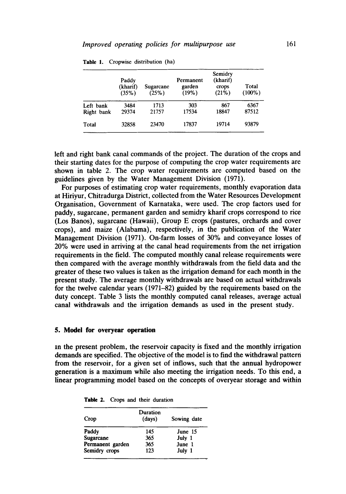|                         | Paddy<br>(kharif)<br>(35%) | Sugarcane<br>(25%) | Permanent<br>garden<br>(19%) | Semidry<br>(kharif)<br>crops<br>(21%) | Total<br>$(100\%)$ |
|-------------------------|----------------------------|--------------------|------------------------------|---------------------------------------|--------------------|
| Left bank<br>Right bank | 3484<br>29374              | 1713<br>21757      | 303<br>17534                 | 867<br>18847                          | 6367<br>87512      |
| Total                   | 32858                      | 23470              | 17837                        | 19714                                 | 93879              |

Table 1. Cropwise distribution (ha)

left and right bank canal commands of the project. The duration of the crops and their starting dates for the purpose of computing the crop water requirements are shown in table 2. The crop water requirements are computed based on the guidelines given by the Water Management Division (1971).

For purposes of estimating crop water requirements, monthly evaporation data at Hiriyur, Chitradurga District, collected from the Water Resources Development Organisation, Government of Karnataka, were used. The crop factors used for paddy, sugarcane, permanent garden and semidry kharif crops correspond to rice (Los Banos), sugarcane (Hawaii), Group E crops (pastures, orchards and cover crops), and maize (Alabama), respectively, in the publication of the Water Management Division (1971). On-farm losses of 30% and conveyance losses of 20% were used in arriving at the canal head requirements from the net irrigation requirements in the field. The computed monthly canal release requirements were then compared with the average monthly withdrawals from the field data and the greater of these two values is taken as the irrigation demand for each month in the present study. The average monthly withdrawals are based on actual withdrawals for the twelve calendar years (1971-82) guided by the requirements based on the duty concept. Table 3 lists the monthly computed canal releases, average actual canal withdrawals and the irrigation demands as used in the present study.

#### **5. Model for overyear operation**

tn the present problem, the reservoir capacity is fixed and the monthly irrigation demands are specified. The objective of the model is to find the withdrawal pattern from the reservoir, for a given set of inflows, such that the annual hydropower generation is a maximum while also meeting the irrigation needs. To this end, a linear programming model based on the concepts of overyear storage and within

| Crop             | Duration<br>(days) | Sowing date |
|------------------|--------------------|-------------|
| Paddy            | 145                | June 15     |
| Sugarcane        | 365                | July 1      |
| Permanent garden | 365                | June 1      |
| Semidry crops    | 123                | July 1      |

|  |  |  |  |  | <b>Table 2.</b> Crops and their duration |
|--|--|--|--|--|------------------------------------------|
|--|--|--|--|--|------------------------------------------|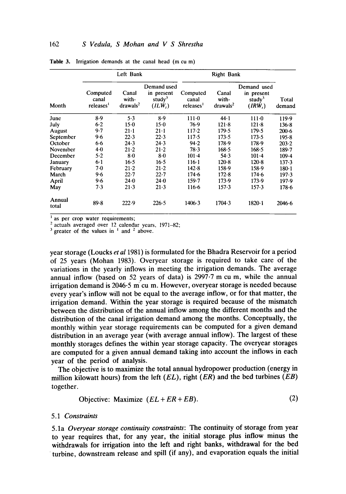|                 |                                            | Left Bank                              |                                                     |                                | <b>Right Bank</b>                      |                                                              |                 |
|-----------------|--------------------------------------------|----------------------------------------|-----------------------------------------------------|--------------------------------|----------------------------------------|--------------------------------------------------------------|-----------------|
| Month           | Computed<br>canal<br>releases <sup>1</sup> | Canal<br>with-<br>drawals <sup>2</sup> | Demand used<br>in present<br>study $3$<br>$(ILW_i)$ | Computed<br>canal<br>releases' | Canal<br>with-<br>drawals <sup>2</sup> | Demand used<br>in present<br>study <sup>3</sup><br>$(IRW_i)$ | Total<br>demand |
| June            | 8.9                                        | $5 - 3$                                | 8.9                                                 | 111.0                          | $44 - 1$                               | $111-0$                                                      | 119.9           |
| July            | $6 - 2$                                    | 15.0                                   | $15 - 0$                                            | 76.9                           | 121.8                                  | $121 - 8$                                                    | $136 - 8$       |
| August          | 9.7                                        | $21 - 1$                               | $21 - 1$                                            | 117.2                          | 179.5                                  | 179.5                                                        | $200 - 6$       |
| September       | 9.6                                        | 22.3                                   | 22.3                                                | 117.5                          | 173.5                                  | 173.5                                                        | 195.8           |
| October         | $6 - 6$                                    | 24.3                                   | $24-3$                                              | 94.2                           | 178.9                                  | 178.9                                                        | $203 - 2$       |
| November        | $4 - 0$                                    | $21 - 2$                               | $21 - 2$                                            | $78-3$                         | 168.5                                  | $168 - 5$                                                    | 189.7           |
| December        | 5.2                                        | $8-0$                                  | $8-0$                                               | $101 - 4$                      | 54.3                                   | $101 - 4$                                                    | 109.4           |
| January         | $6-1$                                      | 16.5                                   | $16 - 5$                                            | $116-1$                        | $120-8$                                | $120 - 8$                                                    | 137.3           |
| February        | 7.0                                        | $21 - 2$                               | $21 - 2$                                            | 142.8                          | 158.9                                  | 158.9                                                        | $180 - 1$       |
| March           | 9.6                                        | $22 - 7$                               | 22.7                                                | 174.6                          | 172.8                                  | 174.6                                                        | 197.3           |
| April           | $9-6$                                      | $24-0$                                 | $24 - 0$                                            | 159.7                          | 173.9                                  | 173.9                                                        | 197.9           |
| May             | 7.3                                        | $21-3$                                 | $21-3$                                              | $116-6$                        | $157 - 3$                              | 157.3                                                        | 178.6           |
| Annual<br>total | $89 - 8$                                   | 222.9                                  | $226 - 5$                                           | $1406 - 3$                     | $1704 - 3$                             | $1820 - 1$                                                   | 2046.6          |

Table 3. Irrigation demands at the canal head (m cu m)

 $<sup>1</sup>$  as per crop water requirements;</sup>

 $2$  actuals averaged over 12 calendar years, 1971-82;

 $3$  greater of the values in  $1$  and  $2$  above.

year storage (Loucks *et al* 1981) is formulated for the Bhadra Reservoir for a period of 25 years (Mohan 1983). Overyear storage is required to take care of the variations in the yearly inflows in meeting the irrigation demands. The average annual inflow (based on 52 years of data) is 2997.7 m cu m, while the annual irrigation demand is 2046.5 m cu m. However, overyear storage is needed because every year's inflow will not be equal to the average inflow, or for that matter, the irrigation demand. Within the year storage is required because of the mismatch between the distribution of the annual inflow among the different months and the distribution of the canal irrigation demand among the months. Conceptually, the monthly within year storage requirements can be computed for a given demand distribution in an average year (with average annual inflow). The largest of these monthly storages defines the within year storage capacity. The overyear storages are computed for a given annual demand taking into account the inflows in each year of the period of analysis.

The objective is to maximize the total annual hydropower production (energy in million kilowatt hours) from the left *(EL),* right *(ER)* and the bed turbines *(EB)*  together.

$$
Objective: Maximize (EL + ER + EB).
$$
 (2)

#### 5.1 *Constraints*

5.1a *Overyear storage continuity constraints:* The continuity of storage from year to year requires that, for any year, the initial storage plus inflow minus the withdrawals for irrigation into the left and right banks, withdrawal for the bed turbine, downstream release and spill (if any), and evaporation equals the initial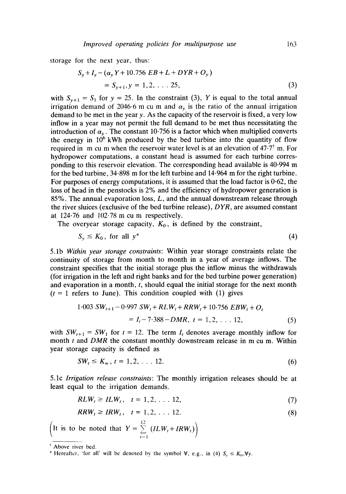storage for the next year, thus:

$$
S_y + I_y - (\alpha_y Y + 10.756 EB + L + DYR + O_y)
$$
  
= S\_{y+1}, y = 1, 2, ... 25, (3)

with  $S_{y+1} = S_1$  for  $y = 25$ . In the constraint (3), Y is equal to the total annual irrigation demand of 2046.6 m cu m and  $\alpha_{v}$  is the ratio of the annual irrigation demand to be met in the year y. As the capacity of the reservoir is fixed, a very low inflow in a year may not permit the full demand to be met thus necessitating the introduction of  $\alpha_{v}$ . The constant 10.756 is a factor which when multiplied converts the energy in  $10^6$  kWh produced by the bed turbine into the quantity of flow required in m cu m when the reservoir water level is at an elevation of  $47.7^{\dagger}$  m. For hydropower computations, a constant head is assumed for each turbine corresponding to this reservoir elevation. The corresponding head available is 40.994 m for the bed turbine, 34.898 m for the left turbine and 14-964 m for the right turbine. For purposes of energy computations, it is assumed that the load factor is  $0.62$ , the loss of head in the penstocks is 2% and the efficiency of hydropower generation is 85%. The annual evaporation loss,  $L$ , and the annual downstream release through the river sluices (exclusive of the bed turbine release), *DYR,* are assumed constant at  $124.76$  and  $102.78$  m cu m respectively.

The overyear storage capacity,  $K_0$ , is defined by the constraint,

$$
S_{\nu} \leq K_0, \text{ for all } \nu^* \tag{4}
$$

5.1b *Within year storage constraints:* Within year storage constraints relate the continuity of storage from month to month in a year of average inflows. The constraint specifies that the initial storage plus the inflow minus the withdrawals (for irrigation in the left and right banks and for the bed turbine power generation) and evaporation in a month, t, should equal the initial storage for the next month  $(t = 1$  refers to June). This condition coupled with (1) gives

$$
1.003 \, SW_{t+1} - 0.997 \, SW_t + RLW_t + RRW_t + 10.756 \, EBW_t + O_t
$$
\n
$$
= I_t - 7.388 - DMR, \ t = 1, 2, \dots, 12,
$$
\n
$$
(5)
$$

with  $SW_{t+1} = SW_1$  for  $t = 12$ . The term  $I_t$  denotes average monthly inflow for month t and *DMR* the constant monthly downstream release in m cu m. Within year storage capacity is defined as

$$
SW_t \le K_w, t = 1, 2, \ldots 12. \tag{6}
$$

5.1c *Irrigation release constraints:* The monthly irrigation releases should be at least equal to the irrigation demands.

$$
RLW_t \ge ILW_t, \quad t = 1, 2, \ldots 12, \tag{7}
$$

$$
RRW_t \geq IRW_t, \quad t = 1, 2, \ldots 12. \tag{8}
$$

$$
\left(\text{It is to be noted that } Y = \sum_{t=1}^{12} (ILW_t + IRW_t)\right)
$$

<sup>~</sup> Above river bed.

<sup>\*</sup> Hereafter, 'for all' will be denoted by the symbol  $\forall$ , e.g., in (4)  $S_y \le K_0, \forall y$ .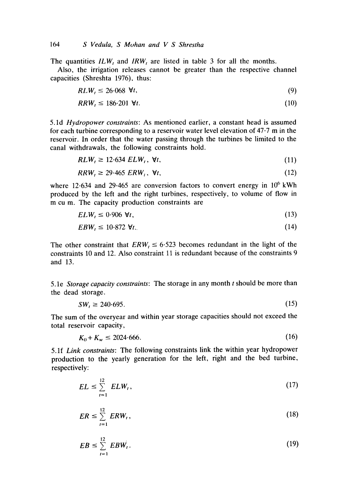The quantities  $ILW_t$  and  $IRW_t$  are listed in table 3 for all the months.

Also, the irrigation releases cannot be greater than the respective channel capacities (Shreshta 1976), thus:

$$
RLW_t \le 26.068 \text{ Vt},\tag{9}
$$

$$
RRW_t \le 186.201 \text{ Vt.} \tag{10}
$$

5.1d *Hydropower constraints: As* mentioned earlier, a constant head is assumed for each turbine corresponding to a reservoir water level elevation of 47.7 m in the reservoir. In order that the water passing through the turbines be limited to the canal withdrawals, the following constraints hold.

$$
RLW_t \ge 12.634 \; ELW_t, \; \forall t,
$$
\n
$$
(11)
$$

$$
RRW_t \ge 29.465 \ ERW_t, \ \forall t,
$$
\n
$$
(12)
$$

where 12.634 and 29.465 are conversion factors to convert energy in  $10^6$  kWh produced by the left and the right turbines, respectively, to volume of flow in m cum. The capacity production constraints are

$$
ELW_t \le 0.906 \ \forall t,\tag{13}
$$

$$
EBW_t \le 10.872 \, \forall t. \tag{14}
$$

The other constraint that  $ERW_t \le 6.523$  becomes redundant in the light of the constraints 10 and 12. Also constraint 11 is redundant because of the constraints 9 and 13.

5.1e *Storage capacity constraints:* The storage in any month t should be more than the dead storage.

$$
SW_t \ge 240.695. \tag{15}
$$

The sum of the overyear and within year storage capacities should not exceed the total reservoir capacity,

$$
K_0 + K_w \le 2024.666. \tag{16}
$$

5.1f *Link constraints:* The following constraints link the within year hydropower production to the yearly generation for the left, right and the bed turbine, respectively:

$$
EL \leq \sum_{t=1}^{12} ELW_t,
$$
\n(17)

$$
ER \leq \sum_{t=1}^{12} ERW_t,
$$
\n(18)

$$
EB \leq \sum_{t=1}^{12} EBW_t.
$$
 (19)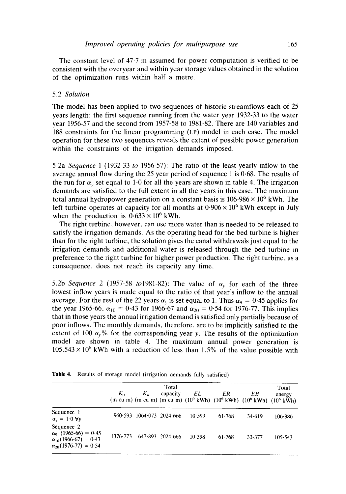The constant level of 47.7 m assumed for power computation is verified to be consistent with the overyear and within year storage values obtained in the solution of the optimization runs within half a metre.

### 5.2 *Solution*

The model has been applied to two sequences of historic streamflows each of 25 years length: the first sequence running from the water year 1932-33 to the water year 1956-57 and the second from 1957-58 to 1981-82. There are 140 variables and 188 constraints for the linear programming (LP) model in each case. The model operation for these two sequences reveals the extent of possible power generation within the constraints of the irrigation demands imposed.

5.2a *Sequence* 1 (1932-33 *to* 1956-57): The ratio of the least yearly inflow to the average annual flow during the 25 year period of sequence 1 is 0.68. The results of the run for  $\alpha$  v set equal to 1.0 for all the years are shown in table 4. The irrigation demands are satisfied to the full extent in all the years in this case. The maximum total annual hydropower generation on a constant basis is  $106.986 \times 10^6$  kWh. The left turbine operates at capacity for all months at  $0.906 \times 10^6$  kWh except in July when the production is  $0.633 \times 10^6$  kWh.

The right turbine, however, can use more water than is needed to be released to satisfy the irrigation demands. As the operating head for the bed turbine is higher than for the right turbine, the solution gives the canal withdrawals just equal to the irrigation demands and additional water is released through the bed turbine in preference to the right turbine for higher power production. The right turbine, as a consequence, does not reach its capacity any time.

5.2b *Sequence* 2 (1957-58 *to*1981-82): The value of  $\alpha$  for each of the three lowest inflow years is made equal to the ratio of that year's inflow to the annual average. For the rest of the 22 years  $\alpha_y$  is set equal to 1. Thus  $\alpha_9 = 0.45$  applies for the year 1965-66,  $\alpha_{10} = 0.43$  for 1966-67 and  $\alpha_{20} = 0.54$  for 1976-77. This implies that in those years the annual irrigation demand is satisfied only partially because of poor inflows. The monthly demands, therefore, are to be implicitly satisfied to the extent of 100  $\alpha$ <sup>o</sup> for the corresponding year y. The results of the optimization model are shown in table 4. The maximum annual power generation is  $105.543 \times 10^6$  kWh with a reduction of less than 1.5% of the value possible with

|                                                                                                               | $K_{0}$  | $K_{\rm u}$ | Total<br>capacity         | EL       | ER         | EВ<br>(m cu m) (m cu m) (m cu m) $(10^6 \text{ kWh})$ $(10^6 \text{ kWh})$ $(10^6 \text{ kWh})$ $(10^6 \text{ kWh})$ $(10^6 \text{ kWh})$ | Total<br>energy |
|---------------------------------------------------------------------------------------------------------------|----------|-------------|---------------------------|----------|------------|-------------------------------------------------------------------------------------------------------------------------------------------|-----------------|
| Sequence 1<br>$\alpha_v = 1.0 \,\text{V}v$                                                                    |          |             | 960.593 1064.073 2024.666 | 10.599   | 61.768     | 34.619                                                                                                                                    | 106.986         |
| Sequence 2<br>$\alpha_{9}$ (1965-66) = 0.45<br>$\alpha_{10}(1966-67) = 0.43$<br>$\alpha_{20}(1976-77) = 0.54$ | 1376.773 |             | $647.893$ 2024.666        | $10-398$ | $61 - 768$ | 33.377                                                                                                                                    | 105.543         |

**Table** 4. Results of storage model (irrigation demands fully satisfied)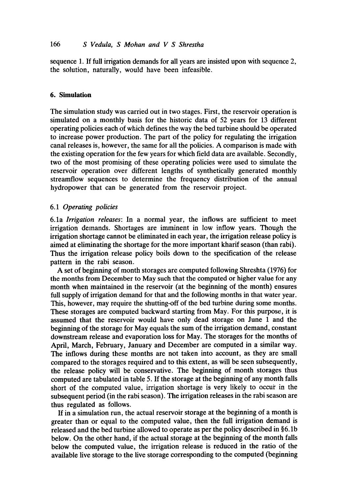sequence 1. If full irrigation demands for all years are insisted upon with sequence 2, the solution, naturally, would have been infeasible.

# **6. Simulation**

The simulation study was carried out in two stages. First, the reservoir operation is simulated on a monthly basis for the historic data of 52 years for 13 different operating policies each of which defines the way the bed turbine should be operated to increase power production. The part of the policy for regulating the irrigation canal releases is, however, the same for all the policies. A comparison is made with the existing operation for the few years for which field data are available. Secondly, two of the most promising of these operating policies were used to simulate the reservoir operation over different lengths of synthetically generated monthly streamflow sequences to determine the frequency distribution of the annual hydropower that can be generated from the reservoir project.

# 6.1 *Operating policies*

6.1a *Irrigation releases:* In a normal year, the inflows are sufficient to meet irrigation demands. Shortages are imminent in low inflow years. Though the irrigation shortage cannot be eliminated in each year, the irrigation release policy is aimed at eliminating the shortage for the more important kharif season (than rabi). Thus the irrigation release policy boils down to the specification of the release pattern in the rabi season.

A set of beginning of month storages are computed following Shreshta (1976) for the months from December to May such that the computed or higher value for any month when maintained in the reservoir (at the beginning of the month) ensures full supply of irrigation demand for that and the following months in that water year. This, however, may require the shutting-off of the bed turbine during some months. These storages are computed backward starting from May. For this purpose, it is assumed that the reservoir would have only dead storage on June 1 and the beginning of the storage for May equals the sum of the irrigation demand, constant downstream release and evaporation loss for May. The storages for the months of April, March, February, January and December are computed in a similar way. The inflows during these months are not taken into account, as they are small compared to the storages required and to this extent, as will be seen subsequently, the release policy will be conservative. The beginning of month storages thus computed are tabulated in table 5. If the storage at the beginning of any month falls short of the computed value, irrigation shortage is very likely to occur in the subsequent period (in the rabi season). The irrigation releases in the rabi season are thus regulated as follows.

If in a simulation run, the actual reservoir storage at the beginning of a month is greater than or equal to the computed value, then the full irrigation demand is released and the bed turbine allowed to operate as per the policy described in §6. lb below. On the other hand, if the actual storage at the beginning of the month falls below the computed value, the irrigation release is reduced in the ratio of the available live storage to the live storage corresponding to the computed (beginning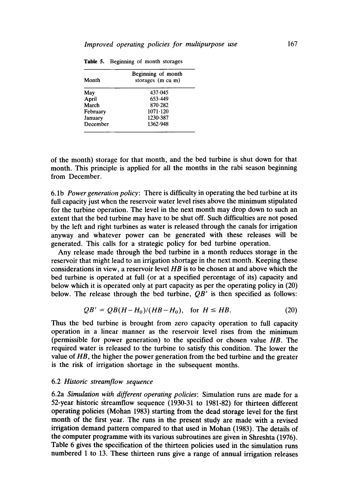| Month    | Beginning of month<br>storages (m cu m) |
|----------|-----------------------------------------|
| May      | 437-045                                 |
| April    | 653.449                                 |
| March    | 870.282                                 |
| February | $1071 - 120$                            |
| January  | 1230-387                                |
| December | 1362-948                                |

**Table** 5. Beginning of month storages

of the month) storage for that month, and the bed turbine is shut down for that month. This principle is applied for all the months in the rabi season beginning from December.

6. lb *Power generation policy:* There is difficulty in operating the bed turbine at its full capacity just when the reservoir water level rises above the minimum stipulated for the turbine operation. The level in the next month may drop down to such an extent that the bed turbine may have to be shut off. Such difficulties are not posed by the left and right turbines as water is released through the canals for irrigation anyway and whatever power can be generated with these releases will be generated. This calls for a strategic policy for bed turbine operation.

Any release made through the bed turbine in a month reduces storage in the reservoir that might lead to an irrigation shortage in the next month. Keeping these considerations in view, a reservoir level *HB* is to be chosen at and above which the bed turbine is operated at full (or at a specified percentage of its) capacity and below which it is operated only at part capacity as per the operating policy in (20) below. The release through the bed turbine, *QB'* is then specified as follows:

$$
QB' = QB(H - H_0)/(HB - H_0), \text{ for } H \leq HB.
$$
 (20)

Thus the bed turbine is brought from zero capacity operation to full capacity operation in a linear manner as the reservoir level rises from the minimum (permissible for power generation) to the specified or chosen value *HB.* The required water is released to the turbine to satisfy this condition. The lower the value of *HB,* the higher the power generation from the bed turbine and the greater is the risk of irrigation shortage in the subsequent months.

# 6.2 *Historic streamflow sequence*

6.2a *Simulation with different operating policies:* Simulation runs are made for a 52-year historic s'treamflow sequence (1930-31 to 1981-82) for thirteen different operating policies (Mohan 1983) starting from the dead storage level for the first month of the first year. The runs in the present study are made with a revised irrigation demand pattern compared to that used in Mohan (1983). The details of the computer programme with its various subroutines are given in Shreshta (1976). Table 6 gives the specification of the thirteen policies used in the simulation runs numbered 1 to 13. These thirteen runs give a range of annual irrigation releases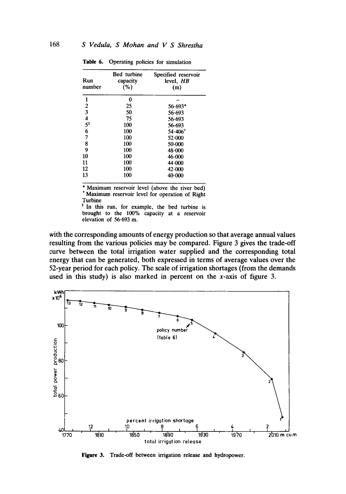| Run<br>number  | Bed turbine<br>capacity<br>(%) | Specified reservoir<br>level, $HB$<br>(m) |
|----------------|--------------------------------|-------------------------------------------|
| 1              | 0                              |                                           |
| 2              | 25                             | 56.693*                                   |
| 3              | 50                             | 56.693                                    |
| 4              | 75                             | $56 - 693$                                |
| $5^{\ddagger}$ | 100                            | 56.693                                    |
| 6              | 100                            | $54.406^+$                                |
| 7              | 100                            | $52 - 000$                                |
| 8              | 100                            | 50.000                                    |
| 9              | 100                            | 48.000                                    |
| 10             | 100                            | 46.000                                    |
| 11             | 100                            | 44.000                                    |
| 12             | 100                            | 42.000                                    |
| 13             | 100                            | 40.000                                    |

**Table** 6. Operating policies for simulation

Maximum reservoir level (above the river bed) Maximum reservoir level for operation of Right Turbine

<sup>#</sup> In this run, for example, the bed turbine is brought to the 100% capacity at a reservoir elevation of 56.693 m.

with the corresponding amounts of energy production so that average annual values resulting from the various policies may be compared. Figure 3 gives the trade-off curve between the total irrigation water supplied and the corresponding total energy that can be generated, both expressed in terms of average values over the 52-year period for each policy. The scale of irrigation shortages (from the demands used in this study) is also marked in percent on the x-axis of figure 3.



Figure 3. Trade-off between irrigation release and hydropower.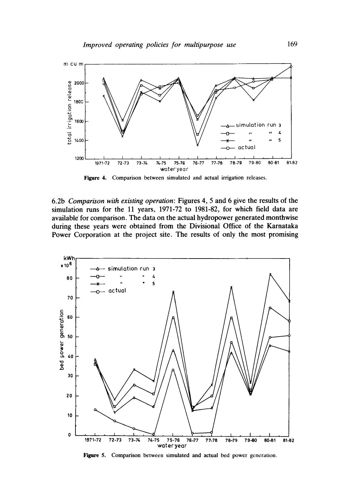

Figure 4. Comparison **between simulated and actual irrigation releases.** 

**6.2b** *Comparison with existing operation:* **Figures 4, 5 and 6 give the results of the simulation runs for the 11 years, 1971-72 to 1981-82, for which field data are available for comparison. The data on the actual hydropower generated monthwise during these years were obtained from the Divisional Office of the Karnataka Power Corporation at the project site. The results of only the most promising** 



Figure 5. Comparison **between simulated and actual bed power generation.**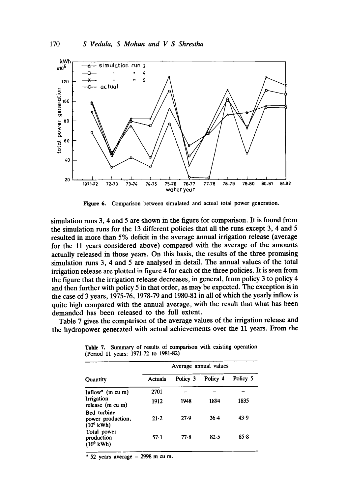

Figure 6. Comparison between simulated and actual total power generation.

simulation runs 3, 4 and 5 are shown in the figure for comparison. It is found from the simulation runs for the 13 different policies that all the runs except 3, 4 and 5 resulted in more than 5% deficit in the average annual irrigation release (average for the 11 years considered above) compared with the average of the amounts actually released in those years. On this basis, the results of the three promising simulation runs 3, 4 and 5 are analysed in detail. The annual values of the total irrigation release are plotted in figure 4 for each of the three policies. It is seen from the figure that the irrigation release decreases, in general, from policy 3 to policy 4 and then further with policy 5 in that order, as may be expected. The exception is in the case of 3 years, 1975-76, 1978-79 and 1980-81 in all of which the yearly inflow is quite high compared with the annual average, with the result that what has been demanded has been released to the full extent.

Table 7 gives the comparison of the average values of the irrigation release and the hydropower generated with actual achievements over the 11 years. From the

|                                                                | Average annual values |          |          |          |  |  |
|----------------------------------------------------------------|-----------------------|----------|----------|----------|--|--|
| Quantity                                                       | <b>Actuals</b>        | Policy 3 | Policy 4 | Policy 5 |  |  |
| Inflow <sup>*</sup> (m cu m)<br>Irrigation<br>release (m cu m) | 2701<br>1912          | 1948     | 1894     | 1835     |  |  |
| Bed turbine<br>power production,<br>$(10^6 \text{ kWh})$       | $21 - 2$              | 27.9     | $36 - 4$ | 43.9     |  |  |
| Total power<br>production<br>$(10^6 \text{ kWh})$              | $57-1$                | 77.8     | 82.5     | $85 - 8$ |  |  |

**Table 7.** 'Summary of results of comparison with existing operation (Period 11 years: 1971-72 to 1981-82)

 $*$  52 years average = 2998 m cu m.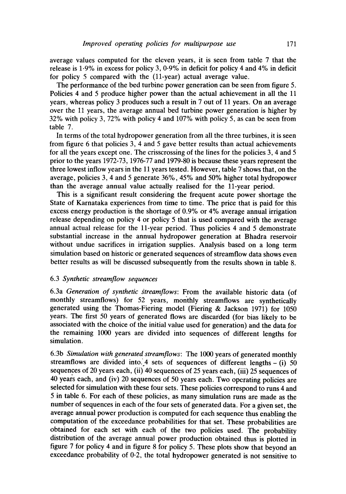average values computed for the eleven years, it is seen from table 7 that the release is 1-9% in excess for policy 3, 0.9% in deficit for policy 4 and 4% in deficit for policy 5 compared with the (11-year) actual average value.

The performance of the bed turbine power generation can be seen from figure 5. Policies 4 and 5 produce higher power than the actual achievement in all the 11 years, whereas policy 3 produces such a result in 7 out of 11 years. On an average over the 11 years, the average annual bed turbine power generation is higher by 32% with policy 3, 72% with policy 4 and 107% with policy 5, as can be seen from table 7.

In terms of the total hydropower generation from all the three turbines, it is seen from figure 6 that policies 3, 4 and 5 gave better results than actual achievements for all the years except one. The crisscrossing of the lines for the policies 3, 4 and 5 prior to the years 1972-73, 1976-77 and 1979-80 is because these years represent the three lowest inflow years in the 11 years tested. However, table 7 shows that, on the average, policies 3, 4 and 5 generate 36%, 45% and 50% higher total hydropower than the average annual value actually realised for the ll-year period.

This is a significant result considering the frequent acute power shortage the State of Karnataka experiences from time to time. The price that is paid for this excess energy production is the shortage of 0.9% or 4% average annual irrigation release depending on policy 4 or policy 5 that is used compared with the average annual actual release for the ll-year period. Thus policies 4 and 5 demonstrate substantial increase in the annual hydropower generation at Bhadra reservoir without undue sacrifices in irrigation supplies. Analysis based on a long term simulation based on historic or generated sequences of streamflow data shows even better results as will be discussed subsequently from the results shown in table 8.

# 6.3 *Synthetic streamflow sequences*

6.3a *Generation of synthetic gtreamflows:* From the available historic data (of monthly streamflows) for 52 years, monthly streamflows are synthetically generated using the Thomas-Fiering model (Fiering & Jackson 1971) for 1050 years. The first 50 years of generated flows are discarded (for bias likely to be associated with the choice of the initial value used for generation) and the data for the remaining 1000 years are divided into sequences of different lengths for simulation.

6.3b *Simulation with generated streamflows:* The 1000 years of generated monthly streamflows are divided into  $4$  sets of sequences of different lengths - (i) 50 sequences of 20 years each, (ii) 40 sequences of 25 years each, (iii) 25 sequences of 40 years each, and (iv) 20 sequences of 50 years each. Two operating policies are selected for simulation with these four sets. These policies correspond to runs 4 and 5 in table 6. For each of these policies, as many simulation runs are made as the number of sequences in each of the four sets of generated data. For a given set, the average annual power production is computed for each sequence thus enabling the computation of the exceedance probabilities for that set. These probabilities are obtained for each set with each of the two policies used. The probability distribution of the average annual power production obtained thus is plotted in figure 7 for policy 4 and in figure 8 for policy 5. These plots show that beyond an exceedance probability of 0.2, the total hydropower generated is not sensitive to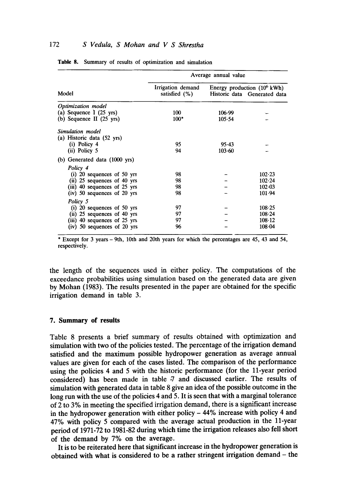| Irrigation demand<br>satisfied (%) | Energy production $(10^6 \text{ kWh})$<br>Historic data Generated data |                               |  |
|------------------------------------|------------------------------------------------------------------------|-------------------------------|--|
|                                    |                                                                        |                               |  |
| 100                                | 106.99                                                                 |                               |  |
| $100*$                             | 105.54                                                                 |                               |  |
|                                    |                                                                        |                               |  |
|                                    |                                                                        |                               |  |
|                                    |                                                                        |                               |  |
| 94                                 | $103 - 60$                                                             |                               |  |
|                                    |                                                                        |                               |  |
|                                    |                                                                        |                               |  |
|                                    |                                                                        | $102 - 23$                    |  |
|                                    |                                                                        | $102 - 24$                    |  |
|                                    |                                                                        | $102 - 03$                    |  |
| 98                                 |                                                                        | 101.94                        |  |
|                                    |                                                                        |                               |  |
| 97                                 |                                                                        | 108-25                        |  |
|                                    |                                                                        | $108 - 24$                    |  |
|                                    |                                                                        | $108 - 12$                    |  |
|                                    |                                                                        | $108 - 04$                    |  |
|                                    | 95<br>98<br>98<br>98<br>97<br>97<br>96                                 | Average annual value<br>95.43 |  |

**Table 8. Summary of results of optimization and simulation** 

\* Except for 3 years - 9th, 10th and 20th **years for which the percentages are** 45, 43 and 54, **respectively.** 

**the length of the sequences used in either policy. The computations of the exceedance probabilities using simulation based on the generated data are given**  by Mohan (1983). **The results presented in the paper are obtained for the specific irrigation demand in table 3.** 

### **7. Summary of results**

**Table 8 presents a brief summary of results obtained with optimization and simulation with two of the policies tested. The percentage of the irrigation demand satisfied and the maximum possible hydropower generation as average annual values are given for each of the cases listed. The comparison of the performance**  using the policies 4 and 5 with the historic performance (for the 11-year period considered) has been made in table 7 and discussed earlier. The results of **simulation with generated data in table 8 give an idea of the possible outcome in the long run with the use of the policies 4 and 5. It is seen that with a marginal tolerance of 2 to 3% in meeting the specified irrigation demand, there is a significant increase in the hydropower generation with either policy - 44% increase with policy 4 and 47% with policy 5 compared with the average actual production in the ll-year period of 1971-72 to 1981-82 during which time the irrigation releases also fell short of the demand by 7% on the average.** 

**It is to be reiterated here that significant increase in the hydropower generation is obtained with what is considered to be a rather stringent irrigation demand - the**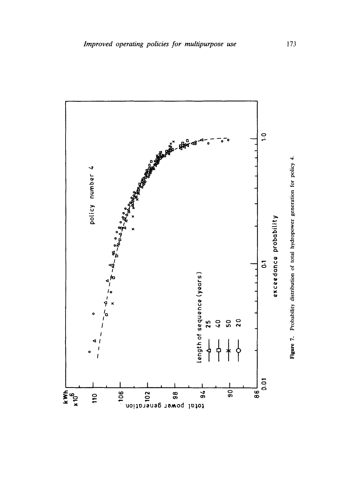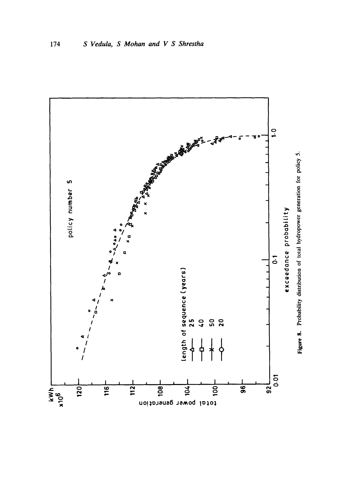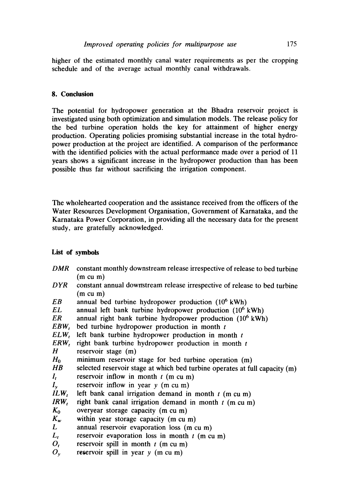higher of the estimated monthly canal water requirements as per the cropping schedule and of the average actual monthly canal withdrawals.

### **8. Conclusion**

The potential for hydropower generation at the Bhadra reservoir project is investigated using both optimization and simulation models. The release policy for the bed turbine operation holds the key for attainment of higher energy production. Operating policies promising substantial increase in the total hydropower production at the project are identified. A comparison of the performance with the identified policies with the actual performance made over a period of 11 years shows a significant increase in the hydropower production than has been possible thus far without sacrificing the irrigation component.

The wholehearted cooperation and the assistance received from the officers of the Water Resources Development Organisation, Government of Karnataka, and the Karnataka Power Corporation, in providing all the necessary data for the present study, are gratefully acknowledged.

# **List of symbols**

| DMR              | constant monthly downstream release irrespective of release to bed turbine    |
|------------------|-------------------------------------------------------------------------------|
|                  | (m cu m)                                                                      |
|                  | DYR constant annual downstream release irrespective of release to bed turbine |
|                  | (m cu m)                                                                      |
| EB               | annual bed turbine hydropower production $(10^6 \text{ kWh})$                 |
| EL               | annual left bank turbine hydropower production $(10^6 \text{ kWh})$           |
| ER               | annual right bank turbine hydropower production $(10^6 \text{ kWh})$          |
| $EBW_t$          | bed turbine hydropower production in month $t$                                |
| $ELW_t$          | left bank turbine hydropower production in month $t$                          |
| $ERW_t$          | right bank turbine hydropower production in month $t$                         |
| H.               | reservoir stage $(m)$                                                         |
| $H_0$            | minimum reservoir stage for bed turbine operation (m)                         |
| H B              | selected reservoir stage at which bed turbine operates at full capacity (m)   |
| $I_t$            | reservoir inflow in month $t$ (m cu m)                                        |
| $I_{\nu}$        | reservoir inflow in year $y$ (m cu m)                                         |
| $ILW_t$          | left bank canal irrigation demand in month $t$ (m cu m)                       |
| $IRW_t$          | right bank canal irrigation demand in month $t$ (m cu m)                      |
| $K_0$            | overyear storage capacity (m cu m)                                            |
| $K_{w}$          | within year storage capacity (m cu m)                                         |
| $\boldsymbol{L}$ | annual reservoir evaporation loss (m cu m)                                    |
| $L_t$            | reservoir evaporation loss in month $t$ (m cu m)                              |
| $O_{t}$          | reservoir spill in month $t$ (m cu m)                                         |
| $O_{\nu}$        | reservoir spill in year $y$ (m cu m)                                          |
|                  |                                                                               |